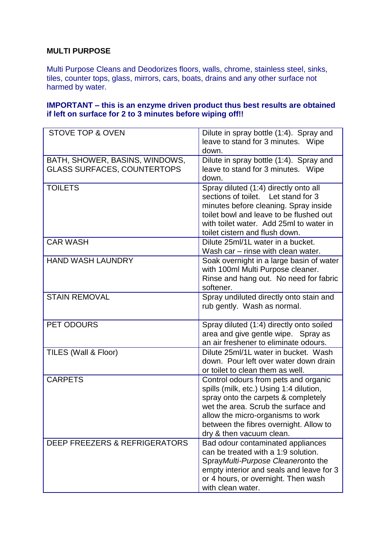## **MULTI PURPOSE**

Multi Purpose Cleans and Deodorizes floors, walls, chrome, stainless steel, sinks, tiles, counter tops, glass, mirrors, cars, boats, drains and any other surface not harmed by water.

## **IMPORTANT – this is an enzyme driven product thus best results are obtained if left on surface for 2 to 3 minutes before wiping off!!**

| <b>STOVE TOP &amp; OVEN</b>                                          | Dilute in spray bottle (1:4). Spray and<br>leave to stand for 3 minutes. Wipe<br>down.                                                                                                                                                                                   |  |  |
|----------------------------------------------------------------------|--------------------------------------------------------------------------------------------------------------------------------------------------------------------------------------------------------------------------------------------------------------------------|--|--|
| BATH, SHOWER, BASINS, WINDOWS,<br><b>GLASS SURFACES, COUNTERTOPS</b> | Dilute in spray bottle (1:4). Spray and<br>leave to stand for 3 minutes. Wipe<br>down.                                                                                                                                                                                   |  |  |
| <b>TOILETS</b>                                                       | Spray diluted (1:4) directly onto all<br>sections of toilet. Let stand for 3<br>minutes before cleaning. Spray inside<br>toilet bowl and leave to be flushed out<br>with toilet water. Add 25ml to water in<br>toilet cistern and flush down.                            |  |  |
| <b>CAR WASH</b>                                                      | Dilute 25ml/1L water in a bucket.<br>Wash car - rinse with clean water.                                                                                                                                                                                                  |  |  |
| <b>HAND WASH LAUNDRY</b>                                             | Soak overnight in a large basin of water<br>with 100ml Multi Purpose cleaner.<br>Rinse and hang out. No need for fabric<br>softener.                                                                                                                                     |  |  |
| <b>STAIN REMOVAL</b>                                                 | Spray undiluted directly onto stain and<br>rub gently. Wash as normal.                                                                                                                                                                                                   |  |  |
| PET ODOURS                                                           | Spray diluted (1:4) directly onto soiled<br>area and give gentle wipe. Spray as<br>an air freshener to eliminate odours.                                                                                                                                                 |  |  |
| TILES (Wall & Floor)                                                 | Dilute 25ml/1L water in bucket. Wash<br>down. Pour left over water down drain<br>or toilet to clean them as well.                                                                                                                                                        |  |  |
| <b>CARPETS</b>                                                       | Control odours from pets and organic<br>spills (milk, etc.) Using 1:4 dilution,<br>spray onto the carpets & completely<br>wet the area. Scrub the surface and<br>allow the micro-organisms to work<br>between the fibres overnight. Allow to<br>dry & then vacuum clean. |  |  |
| <b>DEEP FREEZERS &amp; REFRIGERATORS</b>                             | Bad odour contaminated appliances<br>can be treated with a 1:9 solution.<br>Spray Multi-Purpose Cleaneronto the<br>empty interior and seals and leave for 3<br>or 4 hours, or overnight. Then wash<br>with clean water.                                                  |  |  |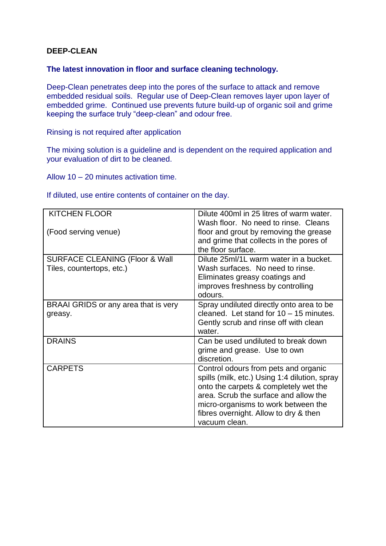## **DEEP-CLEAN**

#### **The latest innovation in floor and surface cleaning technology.**

Deep-Clean penetrates deep into the pores of the surface to attack and remove embedded residual soils. Regular use of Deep-Clean removes layer upon layer of embedded grime. Continued use prevents future build-up of organic soil and grime keeping the surface truly "deep-clean" and odour free.

Rinsing is not required after application

The mixing solution is a guideline and is dependent on the required application and your evaluation of dirt to be cleaned.

Allow 10 – 20 minutes activation time.

If diluted, use entire contents of container on the day.

| <b>KITCHEN FLOOR</b>                                                   | Dilute 400ml in 25 litres of warm water.<br>Wash floor. No need to rinse. Cleans                                                                                                                                                                                         |  |
|------------------------------------------------------------------------|--------------------------------------------------------------------------------------------------------------------------------------------------------------------------------------------------------------------------------------------------------------------------|--|
| (Food serving venue)                                                   | floor and grout by removing the grease<br>and grime that collects in the pores of<br>the floor surface.                                                                                                                                                                  |  |
| <b>SURFACE CLEANING (Floor &amp; Wall</b><br>Tiles, countertops, etc.) | Dilute 25ml/1L warm water in a bucket.<br>Wash surfaces. No need to rinse.<br>Eliminates greasy coatings and<br>improves freshness by controlling<br>odours.                                                                                                             |  |
| BRAAI GRIDS or any area that is very<br>greasy.                        | Spray undiluted directly onto area to be<br>cleaned. Let stand for 10 - 15 minutes.<br>Gently scrub and rinse off with clean<br>water.                                                                                                                                   |  |
| <b>DRAINS</b>                                                          | Can be used undiluted to break down<br>grime and grease. Use to own<br>discretion.                                                                                                                                                                                       |  |
| <b>CARPETS</b>                                                         | Control odours from pets and organic<br>spills (milk, etc.) Using 1:4 dilution, spray<br>onto the carpets & completely wet the<br>area. Scrub the surface and allow the<br>micro-organisms to work between the<br>fibres overnight. Allow to dry & then<br>vacuum clean. |  |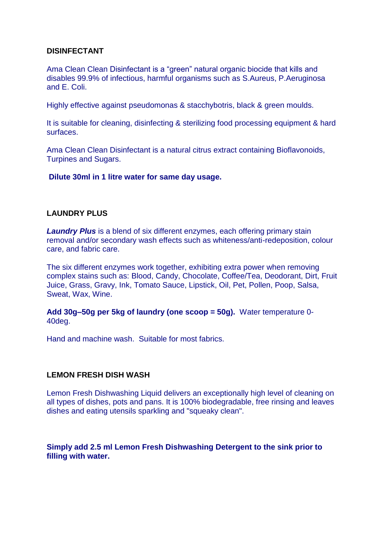#### **DISINFECTANT**

Ama Clean Clean Disinfectant is a "green" natural organic biocide that kills and disables 99.9% of infectious, harmful organisms such as S.Aureus, P.Aeruginosa and E. Coli.

Highly effective against pseudomonas & stacchybotris, black & green moulds.

It is suitable for cleaning, disinfecting & sterilizing food processing equipment & hard surfaces.

Ama Clean Clean Disinfectant is a natural citrus extract containing Bioflavonoids, Turpines and Sugars.

**Dilute 30ml in 1 litre water for same day usage.**

## **LAUNDRY PLUS**

*Laundry Plus* is a blend of six different enzymes, each offering primary stain removal and/or secondary wash effects such as whiteness/anti-redeposition, colour care, and fabric care.

The six different enzymes work together, exhibiting extra power when removing complex stains such as: Blood, Candy, Chocolate, Coffee/Tea, Deodorant, Dirt, Fruit Juice, Grass, Gravy, Ink, Tomato Sauce, Lipstick, Oil, Pet, Pollen, Poop, Salsa, Sweat, Wax, Wine.

**Add 30g–50g per 5kg of laundry (one scoop = 50g).** Water temperature 0- 40deg.

Hand and machine wash. Suitable for most fabrics.

#### **LEMON FRESH DISH WASH**

Lemon Fresh Dishwashing Liquid delivers an exceptionally high level of cleaning on all types of dishes, pots and pans. It is 100% biodegradable, free rinsing and leaves dishes and eating utensils sparkling and "squeaky clean".

**Simply add 2.5 ml Lemon Fresh Dishwashing Detergent to the sink prior to filling with water.**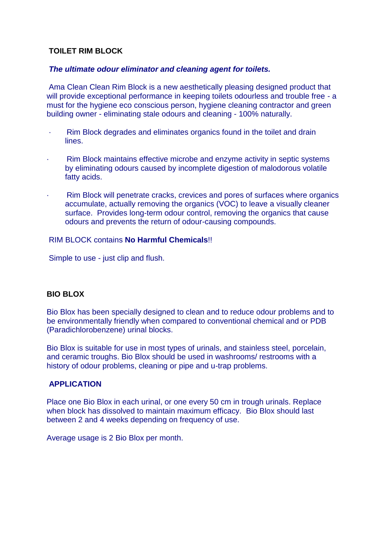# **TOILET RIM BLOCK**

#### *The ultimate odour eliminator and cleaning agent for toilets.*

Ama Clean Clean Rim Block is a new aesthetically pleasing designed product that will provide exceptional performance in keeping toilets odourless and trouble free - a must for the hygiene eco conscious person, hygiene cleaning contractor and green building owner - eliminating stale odours and cleaning - 100% naturally.

- · Rim Block degrades and eliminates organics found in the toilet and drain lines.
- Rim Block maintains effective microbe and enzyme activity in septic systems by eliminating odours caused by incomplete digestion of malodorous volatile fatty acids.
- Rim Block will penetrate cracks, crevices and pores of surfaces where organics accumulate, actually removing the organics (VOC) to leave a visually cleaner surface. Provides long-term odour control, removing the organics that cause odours and prevents the return of odour-causing compounds.

#### RIM BLOCK contains **No Harmful Chemicals**!!

Simple to use - just clip and flush.

## **BIO BLOX**

Bio Blox has been specially designed to clean and to reduce odour problems and to be environmentally friendly when compared to conventional chemical and or PDB (Paradichlorobenzene) urinal blocks.

Bio Blox is suitable for use in most types of urinals, and stainless steel, porcelain, and ceramic troughs. Bio Blox should be used in washrooms/ restrooms with a history of odour problems, cleaning or pipe and u-trap problems.

## **APPLICATION**

Place one Bio Blox in each urinal, or one every 50 cm in trough urinals. Replace when block has dissolved to maintain maximum efficacy. Bio Blox should last between 2 and 4 weeks depending on frequency of use.

Average usage is 2 Bio Blox per month.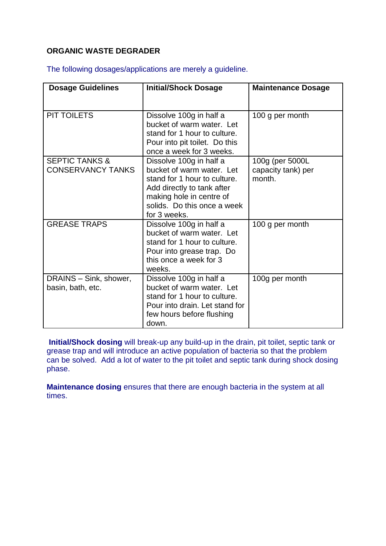# **ORGANIC WASTE DEGRADER**

The following dosages/applications are merely a guideline.

| <b>Dosage Guidelines</b>  | <b>Initial/Shock Dosage</b>                               | <b>Maintenance Dosage</b>    |
|---------------------------|-----------------------------------------------------------|------------------------------|
| PIT TOILETS               | Dissolve 100g in half a                                   | 100 g per month              |
|                           | bucket of warm water. Let                                 |                              |
|                           | stand for 1 hour to culture.                              |                              |
|                           | Pour into pit toilet. Do this<br>once a week for 3 weeks. |                              |
| <b>SEPTIC TANKS &amp;</b> | Dissolve 100g in half a                                   | 100g (per 5000L              |
| <b>CONSERVANCY TANKS</b>  | bucket of warm water. Let<br>stand for 1 hour to culture. | capacity tank) per<br>month. |
|                           | Add directly to tank after                                |                              |
|                           | making hole in centre of<br>solids. Do this once a week   |                              |
|                           | for 3 weeks.                                              |                              |
| <b>GREASE TRAPS</b>       | Dissolve 100g in half a<br>bucket of warm water. Let      | 100 g per month              |
|                           | stand for 1 hour to culture.                              |                              |
|                           | Pour into grease trap. Do                                 |                              |
|                           | this once a week for 3<br>weeks.                          |                              |
| DRAINS - Sink, shower,    | Dissolve 100g in half a                                   | 100g per month               |
| basin, bath, etc.         | bucket of warm water. Let<br>stand for 1 hour to culture. |                              |
|                           | Pour into drain. Let stand for                            |                              |
|                           | few hours before flushing                                 |                              |
|                           | down.                                                     |                              |

**Initial/Shock dosing** will break-up any build-up in the drain, pit toilet, septic tank or grease trap and will introduce an active population of bacteria so that the problem can be solved. Add a lot of water to the pit toilet and septic tank during shock dosing phase.

**Maintenance dosing** ensures that there are enough bacteria in the system at all times.